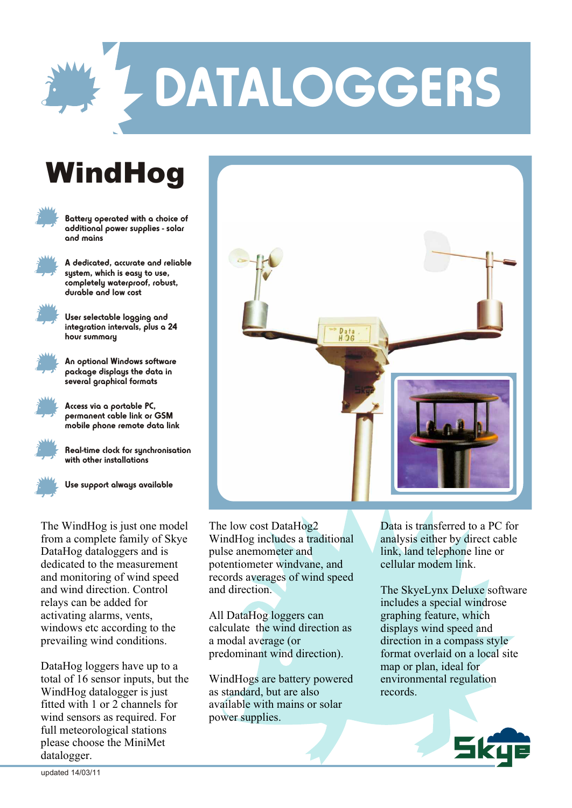

## DATALOGGERS

## **WindHog**



Battery operated with a choice of additional power supplies - solar and mains



A dedicated, accurate and reliable system, which is easy to use, completely waterproof, robust,



User selectable logging and integration intervals, plus a 24 hour summary

durable and low cost



An optional Windows software package displays the data in several graphical formats



Access via a portable PC, permanent cable link or GSM mobile phone remote data link



Real-time clock for synchronisation with other installations



Use support always available

The WindHog is just one model from a complete family of Skye DataHog dataloggers and is dedicated to the measurement and monitoring of wind speed and wind direction. Control relays can be added for activating alarms, vents, windows etc according to the prevailing wind conditions.

DataHog loggers have up to a total of 16 sensor inputs, but the WindHog datalogger is just fitted with 1 or 2 channels for wind sensors as required. For full meteorological stations please choose the MiniMet datalogger.



The low cost DataHog2 WindHog includes a traditional pulse anemometer and potentiometer windvane, and records averages of wind speed and direction.

All DataHog loggers can calculate the wind direction as a modal average (or predominant wind direction).

WindHogs are battery powered as standard, but are also available with mains or solar power supplies.

Data is transferred to a PC for analysis either by direct cable link, land telephone line or cellular modem link.

The SkyeLynx Deluxe software includes a special windrose graphing feature, which displays wind speed and direction in a compass style format overlaid on a local site map or plan, ideal for environmental regulation records.